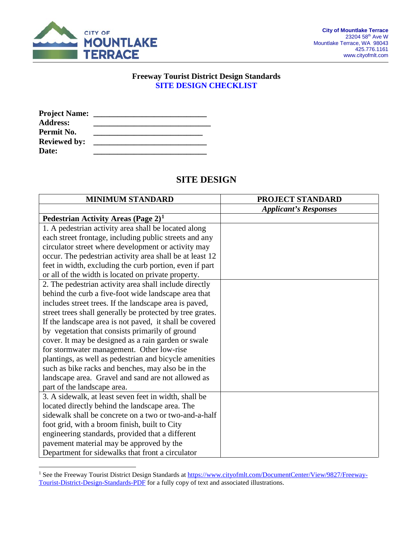

#### **Freeway Tourist District Design Standards SITE DESIGN CHECKLIST**

| <b>Project Name:</b> |  |
|----------------------|--|
| <b>Address:</b>      |  |
| Permit No.           |  |
| <b>Reviewed by:</b>  |  |
| <b>Date:</b>         |  |

# **SITE DESIGN**

| <b>MINIMUM STANDARD</b>                                   | PROJECT STANDARD             |
|-----------------------------------------------------------|------------------------------|
|                                                           | <b>Applicant's Responses</b> |
| Pedestrian Activity Areas (Page $2)^1$                    |                              |
| 1. A pedestrian activity area shall be located along      |                              |
| each street frontage, including public streets and any    |                              |
| circulator street where development or activity may       |                              |
| occur. The pedestrian activity area shall be at least 12  |                              |
| feet in width, excluding the curb portion, even if part   |                              |
| or all of the width is located on private property.       |                              |
| 2. The pedestrian activity area shall include directly    |                              |
| behind the curb a five-foot wide landscape area that      |                              |
| includes street trees. If the landscape area is paved,    |                              |
| street trees shall generally be protected by tree grates. |                              |
| If the landscape area is not paved, it shall be covered   |                              |
| by vegetation that consists primarily of ground           |                              |
| cover. It may be designed as a rain garden or swale       |                              |
| for stormwater management. Other low-rise                 |                              |
| plantings, as well as pedestrian and bicycle amenities    |                              |
| such as bike racks and benches, may also be in the        |                              |
| landscape area. Gravel and sand are not allowed as        |                              |
| part of the landscape area.                               |                              |
| 3. A sidewalk, at least seven feet in width, shall be     |                              |
| located directly behind the landscape area. The           |                              |
| sidewalk shall be concrete on a two or two-and-a-half     |                              |
| foot grid, with a broom finish, built to City             |                              |
| engineering standards, provided that a different          |                              |
| pavement material may be approved by the                  |                              |
| Department for sidewalks that front a circulator          |                              |

<span id="page-0-0"></span><sup>&</sup>lt;sup>1</sup> See the Freeway Tourist District Design Standards at [https://www.cityofmlt.com/DocumentCenter/View/9827/Freeway-](https://www.cityofmlt.com/DocumentCenter/View/9827/Freeway-Tourist-District-Design-Standards-PDF)[Tourist-District-Design-Standards-PDF](https://www.cityofmlt.com/DocumentCenter/View/9827/Freeway-Tourist-District-Design-Standards-PDF) for a fully copy of text and associated illustrations.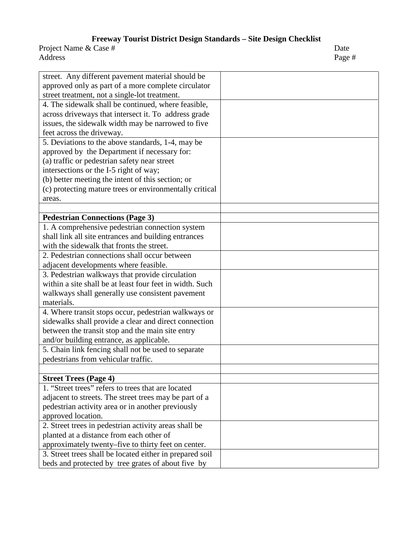| street. Any different pavement material should be        |  |
|----------------------------------------------------------|--|
| approved only as part of a more complete circulator      |  |
| street treatment, not a single-lot treatment.            |  |
| 4. The sidewalk shall be continued, where feasible,      |  |
| across driveways that intersect it. To address grade     |  |
| issues, the sidewalk width may be narrowed to five       |  |
| feet across the driveway.                                |  |
| 5. Deviations to the above standards, 1-4, may be        |  |
| approved by the Department if necessary for:             |  |
| (a) traffic or pedestrian safety near street             |  |
| intersections or the I-5 right of way;                   |  |
| (b) better meeting the intent of this section; or        |  |
| (c) protecting mature trees or environmentally critical  |  |
| areas.                                                   |  |
|                                                          |  |
| <b>Pedestrian Connections (Page 3)</b>                   |  |
| 1. A comprehensive pedestrian connection system          |  |
| shall link all site entrances and building entrances     |  |
| with the sidewalk that fronts the street.                |  |
| 2. Pedestrian connections shall occur between            |  |
| adjacent developments where feasible.                    |  |
| 3. Pedestrian walkways that provide circulation          |  |
| within a site shall be at least four feet in width. Such |  |
| walkways shall generally use consistent pavement         |  |
| materials.                                               |  |
| 4. Where transit stops occur, pedestrian walkways or     |  |
| sidewalks shall provide a clear and direct connection    |  |
| between the transit stop and the main site entry         |  |
| and/or building entrance, as applicable.                 |  |
| 5. Chain link fencing shall not be used to separate      |  |
| pedestrians from vehicular traffic.                      |  |
|                                                          |  |
| <b>Street Trees (Page 4)</b>                             |  |
| 1. "Street trees" refers to trees that are located       |  |
| adjacent to streets. The street trees may be part of a   |  |
| pedestrian activity area or in another previously        |  |
| approved location.                                       |  |
| 2. Street trees in pedestrian activity areas shall be    |  |
| planted at a distance from each other of                 |  |
| approximately twenty–five to thirty feet on center.      |  |
| 3. Street trees shall be located either in prepared soil |  |
| beds and protected by tree grates of about five by       |  |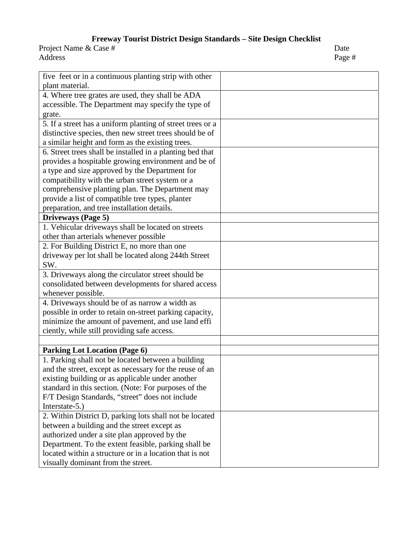| five feet or in a continuous planting strip with other     |  |
|------------------------------------------------------------|--|
| plant material.                                            |  |
| 4. Where tree grates are used, they shall be ADA           |  |
| accessible. The Department may specify the type of         |  |
| grate.                                                     |  |
| 5. If a street has a uniform planting of street trees or a |  |
| distinctive species, then new street trees should be of    |  |
| a similar height and form as the existing trees.           |  |
| 6. Street trees shall be installed in a planting bed that  |  |
| provides a hospitable growing environment and be of        |  |
| a type and size approved by the Department for             |  |
| compatibility with the urban street system or a            |  |
| comprehensive planting plan. The Department may            |  |
| provide a list of compatible tree types, planter           |  |
| preparation, and tree installation details.                |  |
| Driveways (Page 5)                                         |  |
| 1. Vehicular driveways shall be located on streets         |  |
| other than arterials whenever possible                     |  |
| 2. For Building District E, no more than one               |  |
| driveway per lot shall be located along 244th Street       |  |
| SW.                                                        |  |
| 3. Driveways along the circulator street should be         |  |
| consolidated between developments for shared access        |  |
| whenever possible.                                         |  |
| 4. Driveways should be of as narrow a width as             |  |
| possible in order to retain on-street parking capacity,    |  |
| minimize the amount of pavement, and use land effi         |  |
| ciently, while still providing safe access.                |  |
|                                                            |  |
| <b>Parking Lot Location (Page 6)</b>                       |  |
| 1. Parking shall not be located between a building         |  |
| and the street, except as necessary for the reuse of an    |  |
| existing building or as applicable under another           |  |
| standard in this section. (Note: For purposes of the       |  |
| F/T Design Standards, "street" does not include            |  |
| Interstate-5.)                                             |  |
| 2. Within District D, parking lots shall not be located    |  |
| between a building and the street except as                |  |
| authorized under a site plan approved by the               |  |
| Department. To the extent feasible, parking shall be       |  |
| located within a structure or in a location that is not    |  |
| visually dominant from the street.                         |  |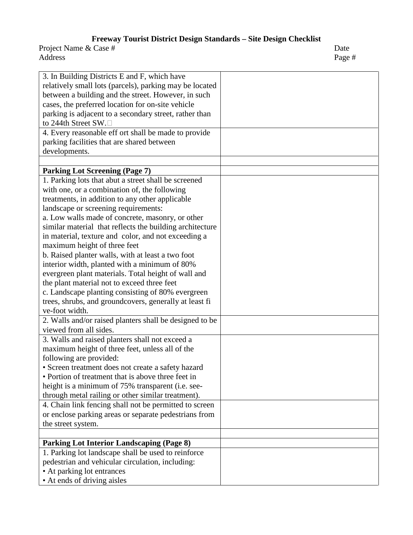| 3. In Building Districts E and F, which have<br>relatively small lots (parcels), parking may be located<br>between a building and the street. However, in such<br>cases, the preferred location for on-site vehicle<br>parking is adjacent to a secondary street, rather than<br>to 244th Street SW.□<br>4. Every reasonable eff ort shall be made to provide |  |
|---------------------------------------------------------------------------------------------------------------------------------------------------------------------------------------------------------------------------------------------------------------------------------------------------------------------------------------------------------------|--|
| parking facilities that are shared between                                                                                                                                                                                                                                                                                                                    |  |
| developments.                                                                                                                                                                                                                                                                                                                                                 |  |
|                                                                                                                                                                                                                                                                                                                                                               |  |
| <b>Parking Lot Screening (Page 7)</b>                                                                                                                                                                                                                                                                                                                         |  |
| 1. Parking lots that abut a street shall be screened                                                                                                                                                                                                                                                                                                          |  |
| with one, or a combination of, the following                                                                                                                                                                                                                                                                                                                  |  |
| treatments, in addition to any other applicable                                                                                                                                                                                                                                                                                                               |  |
| landscape or screening requirements:                                                                                                                                                                                                                                                                                                                          |  |
| a. Low walls made of concrete, masonry, or other                                                                                                                                                                                                                                                                                                              |  |
| similar material that reflects the building architecture                                                                                                                                                                                                                                                                                                      |  |
| in material, texture and color, and not exceeding a                                                                                                                                                                                                                                                                                                           |  |
| maximum height of three feet                                                                                                                                                                                                                                                                                                                                  |  |
| b. Raised planter walls, with at least a two foot                                                                                                                                                                                                                                                                                                             |  |
| interior width, planted with a minimum of 80%                                                                                                                                                                                                                                                                                                                 |  |
| evergreen plant materials. Total height of wall and                                                                                                                                                                                                                                                                                                           |  |
| the plant material not to exceed three feet                                                                                                                                                                                                                                                                                                                   |  |
| c. Landscape planting consisting of 80% evergreen                                                                                                                                                                                                                                                                                                             |  |
| trees, shrubs, and groundcovers, generally at least fi                                                                                                                                                                                                                                                                                                        |  |
| ve-foot width.                                                                                                                                                                                                                                                                                                                                                |  |
|                                                                                                                                                                                                                                                                                                                                                               |  |
| 2. Walls and/or raised planters shall be designed to be<br>viewed from all sides.                                                                                                                                                                                                                                                                             |  |
|                                                                                                                                                                                                                                                                                                                                                               |  |
| 3. Walls and raised planters shall not exceed a                                                                                                                                                                                                                                                                                                               |  |
| maximum height of three feet, unless all of the                                                                                                                                                                                                                                                                                                               |  |
| following are provided:                                                                                                                                                                                                                                                                                                                                       |  |
| • Screen treatment does not create a safety hazard                                                                                                                                                                                                                                                                                                            |  |
| • Portion of treatment that is above three feet in                                                                                                                                                                                                                                                                                                            |  |
| height is a minimum of 75% transparent (i.e. see-                                                                                                                                                                                                                                                                                                             |  |
| through metal railing or other similar treatment).                                                                                                                                                                                                                                                                                                            |  |
| 4. Chain link fencing shall not be permitted to screen                                                                                                                                                                                                                                                                                                        |  |
| or enclose parking areas or separate pedestrians from                                                                                                                                                                                                                                                                                                         |  |
| the street system.                                                                                                                                                                                                                                                                                                                                            |  |
|                                                                                                                                                                                                                                                                                                                                                               |  |
| <b>Parking Lot Interior Landscaping (Page 8)</b>                                                                                                                                                                                                                                                                                                              |  |
| 1. Parking lot landscape shall be used to reinforce                                                                                                                                                                                                                                                                                                           |  |
| pedestrian and vehicular circulation, including:                                                                                                                                                                                                                                                                                                              |  |
| • At parking lot entrances                                                                                                                                                                                                                                                                                                                                    |  |
| • At ends of driving aisles                                                                                                                                                                                                                                                                                                                                   |  |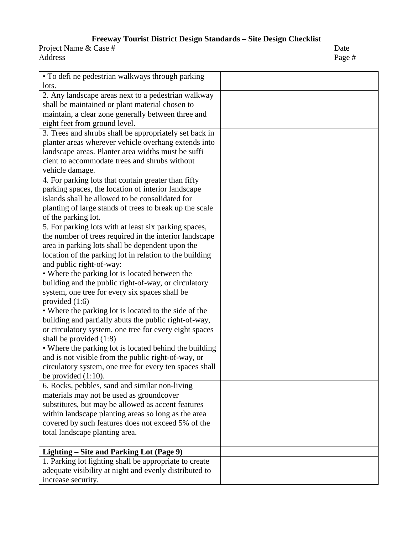| • To defi ne pedestrian walkways through parking        |  |
|---------------------------------------------------------|--|
| lots.                                                   |  |
| 2. Any landscape areas next to a pedestrian walkway     |  |
| shall be maintained or plant material chosen to         |  |
| maintain, a clear zone generally between three and      |  |
| eight feet from ground level.                           |  |
| 3. Trees and shrubs shall be appropriately set back in  |  |
| planter areas wherever vehicle overhang extends into    |  |
| landscape areas. Planter area widths must be suffi      |  |
| cient to accommodate trees and shrubs without           |  |
| vehicle damage.                                         |  |
| 4. For parking lots that contain greater than fifty     |  |
| parking spaces, the location of interior landscape      |  |
| islands shall be allowed to be consolidated for         |  |
| planting of large stands of trees to break up the scale |  |
| of the parking lot.                                     |  |
| 5. For parking lots with at least six parking spaces,   |  |
| the number of trees required in the interior landscape  |  |
| area in parking lots shall be dependent upon the        |  |
| location of the parking lot in relation to the building |  |
| and public right-of-way:                                |  |
| • Where the parking lot is located between the          |  |
| building and the public right-of-way, or circulatory    |  |
| system, one tree for every six spaces shall be          |  |
| provided $(1:6)$                                        |  |
| • Where the parking lot is located to the side of the   |  |
| building and partially abuts the public right-of-way,   |  |
| or circulatory system, one tree for every eight spaces  |  |
| shall be provided $(1:8)$                               |  |
| • Where the parking lot is located behind the building  |  |
| and is not visible from the public right-of-way, or     |  |
| circulatory system, one tree for every ten spaces shall |  |
| be provided $(1:10)$ .                                  |  |
| 6. Rocks, pebbles, sand and similar non-living          |  |
| materials may not be used as groundcover                |  |
| substitutes, but may be allowed as accent features      |  |
| within landscape planting areas so long as the area     |  |
| covered by such features does not exceed 5% of the      |  |
| total landscape planting area.                          |  |
|                                                         |  |
| Lighting – Site and Parking Lot (Page 9)                |  |
| 1. Parking lot lighting shall be appropriate to create  |  |
| adequate visibility at night and evenly distributed to  |  |
| increase security.                                      |  |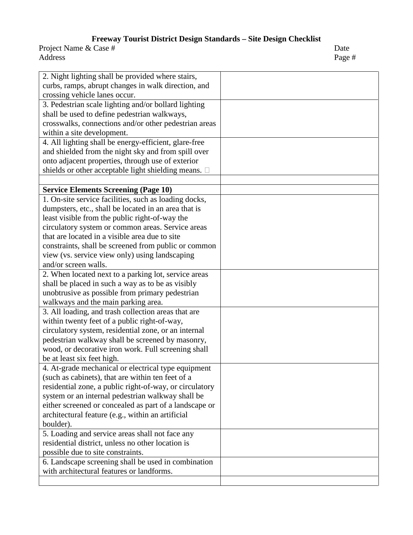| 2. Night lighting shall be provided where stairs,            |  |
|--------------------------------------------------------------|--|
| curbs, ramps, abrupt changes in walk direction, and          |  |
| crossing vehicle lanes occur.                                |  |
| 3. Pedestrian scale lighting and/or bollard lighting         |  |
| shall be used to define pedestrian walkways,                 |  |
| crosswalks, connections and/or other pedestrian areas        |  |
| within a site development.                                   |  |
| 4. All lighting shall be energy-efficient, glare-free        |  |
| and shielded from the night sky and from spill over          |  |
| onto adjacent properties, through use of exterior            |  |
| shields or other acceptable light shielding means. $\square$ |  |
|                                                              |  |
| <b>Service Elements Screening (Page 10)</b>                  |  |
| 1. On-site service facilities, such as loading docks,        |  |
| dumpsters, etc., shall be located in an area that is         |  |
| least visible from the public right-of-way the               |  |
| circulatory system or common areas. Service areas            |  |
| that are located in a visible area due to site               |  |
| constraints, shall be screened from public or common         |  |
| view (vs. service view only) using landscaping               |  |
| and/or screen walls.                                         |  |
| 2. When located next to a parking lot, service areas         |  |
| shall be placed in such a way as to be as visibly            |  |
| unobtrusive as possible from primary pedestrian              |  |
| walkways and the main parking area.                          |  |
| 3. All loading, and trash collection areas that are          |  |
| within twenty feet of a public right-of-way,                 |  |
| circulatory system, residential zone, or an internal         |  |
| pedestrian walkway shall be screened by masonry,             |  |
| wood, or decorative iron work. Full screening shall          |  |
| be at least six feet high.                                   |  |
| 4. At-grade mechanical or electrical type equipment          |  |
| (such as cabinets), that are within ten feet of a            |  |
| residential zone, a public right-of-way, or circulatory      |  |
| system or an internal pedestrian walkway shall be            |  |
| either screened or concealed as part of a landscape or       |  |
| architectural feature (e.g., within an artificial            |  |
| boulder).                                                    |  |
| 5. Loading and service areas shall not face any              |  |
| residential district, unless no other location is            |  |
| possible due to site constraints.                            |  |
| 6. Landscape screening shall be used in combination          |  |
| with architectural features or landforms.                    |  |
|                                                              |  |